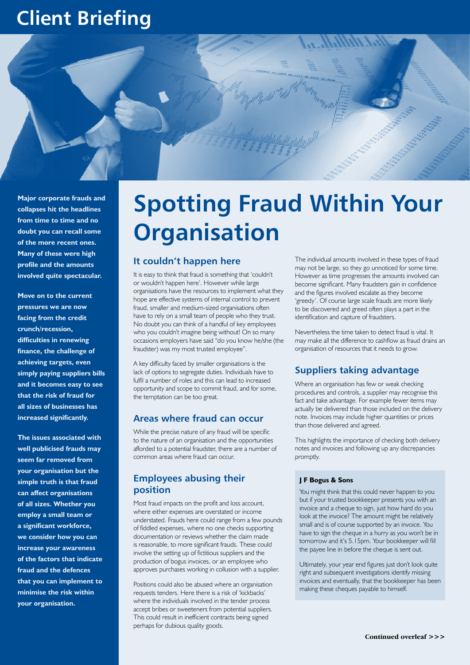## **Client Briefing**



**Major corporate frauds and collapses hit the headlines from time to time and no doubt you can recall some of the more recent ones. Many of these were high profile and the amounts involved quite spectacular.** 

**Move on to the current pressures we are now facing from the credit crunch/recession, difficulties in renewing finance, the challenge of achieving targets, even simply paying suppliers bills and it becomes easy to see that the risk of fraud for all sizes of businesses has increased significantly.** 

**The issues associated with well publicised frauds may seem far removed from your organisation but the simple truth is that fraud can affect organisations of all sizes. Whether you employ a small team or a significant workforce, we consider how you can increase your awareness of the factors that indicate fraud and the defences that you can implement to minimise the risk within your organisation.**

# **Spotting Fraud Within Your Organisation**

## **It couldn't happen here**

It is easy to think that fraud is something that 'couldn't or wouldn't happen here'. However while large organisations have the resources to implement what they hope are effective systems of internal control to prevent fraud, smaller and medium-sized organisations often have to rely on a small team of people who they trust. No doubt you can think of a handful of key employees who you couldn't imagine being without! On so many occasions employers have said "do you know he/she (the fraudster) was my most trusted employee".

A key difficulty faced by smaller organisations is the lack of options to segregate duties. Individuals have to fulfil a number of roles and this can lead to increased opportunity and scope to commit fraud, and for some, the temptation can be too great.

### **Areas where fraud can occur**

While the precise nature of any fraud will be specific to the nature of an organisation and the opportunities afforded to a potential fraudster, there are a number of common areas where fraud can occur.

## **Employees abusing their position**

Most fraud impacts on the profit and loss account, where either expenses are overstated or income understated. Frauds here could range from a few pounds of fiddled expenses, where no one checks supporting documentation or reviews whether the claim made is reasonable, to more significant frauds. These could involve the setting up of fictitious suppliers and the production of bogus invoices, or an employee who approves purchases working in collusion with a supplier.

Positions could also be abused where an organisation requests tenders. Here there is a risk of 'kickbacks' where the individuals involved in the tender process accept bribes or sweeteners from potential suppliers. This could result in inefficient contracts being signed perhaps for dubious quality goods.

The individual amounts involved in these types of fraud may not be large, so they go unnoticed for some time. However as time progresses the amounts involved can become significant. Many fraudsters gain in confidence and the figures involved escalate as they become 'greedy'. Of course large scale frauds are more likely to be discovered and greed often plays a part in the identification and capture of fraudsters.

Nevertheless the time taken to detect fraud is vital. It may make all the difference to cashflow as fraud drains an organisation of resources that it needs to grow.

## **Suppliers taking advantage**

Where an organisation has few or weak checking procedures and controls, a supplier may recognise this fact and take advantage. For example fewer items may actually be delivered than those included on the delivery note. Invoices may include higher quantities or prices than those delivered and agreed.

This highlights the importance of checking both delivery notes and invoices and following up any discrepancies promptly.

#### **J F Bogus & Sons**

You might think that this could never happen to you but if your trusted bookkeeper presents you with an invoice and a cheque to sign, just how hard do you look at the invoice? The amount might be relatively small and is of course supported by an invoice. You have to sign the cheque in a hurry as you won't be in tomorrow and it's 5.15pm. Your bookkeeper will fill the payee line in before the cheque is sent out.

Ultimately, your year end figures just don't look quite right and subsequent investigations identify missing invoices and eventually, that the bookkeeper has been making these cheques payable to himself.